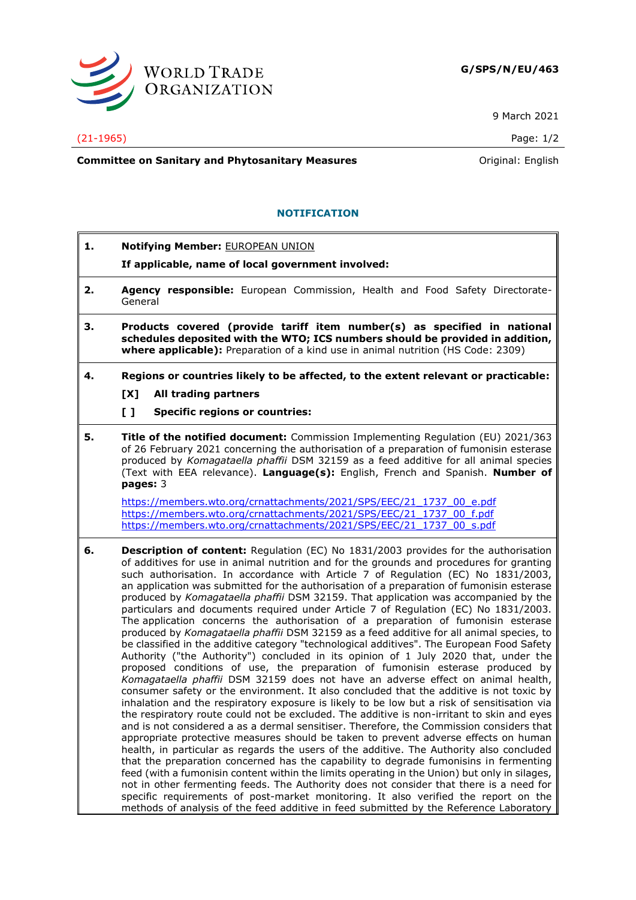

9 March 2021

## (21-1965) Page: 1/2

**Committee on Sanitary and Phytosanitary Measures Committee on Sanitary and Phytosanitary Measures Committee And American** 

## **NOTIFICATION**

- **1. Notifying Member:** EUROPEAN UNION
	- **If applicable, name of local government involved:**
- **2. Agency responsible:** European Commission, Health and Food Safety Directorate-General
- **3. Products covered (provide tariff item number(s) as specified in national schedules deposited with the WTO; ICS numbers should be provided in addition, where applicable):** Preparation of a kind use in animal nutrition (HS Code: 2309)
- **4. Regions or countries likely to be affected, to the extent relevant or practicable:**
	- **[X] All trading partners**
	- **[ ] Specific regions or countries:**
- **5. Title of the notified document:** Commission Implementing Regulation (EU) 2021/363 of 26 February 2021 concerning the authorisation of a preparation of fumonisin esterase produced by *Komagataella phaffii* DSM 32159 as a feed additive for all animal species (Text with EEA relevance). **Language(s):** English, French and Spanish. **Number of pages:** 3

[https://members.wto.org/crnattachments/2021/SPS/EEC/21\\_1737\\_00\\_e.pdf](https://members.wto.org/crnattachments/2021/SPS/EEC/21_1737_00_e.pdf) [https://members.wto.org/crnattachments/2021/SPS/EEC/21\\_1737\\_00\\_f.pdf](https://members.wto.org/crnattachments/2021/SPS/EEC/21_1737_00_f.pdf) [https://members.wto.org/crnattachments/2021/SPS/EEC/21\\_1737\\_00\\_s.pdf](https://members.wto.org/crnattachments/2021/SPS/EEC/21_1737_00_s.pdf)

**6. Description of content:** Regulation (EC) No 1831/2003 provides for the authorisation of additives for use in animal nutrition and for the grounds and procedures for granting such authorisation. In accordance with Article 7 of Regulation (EC) No 1831/2003, an application was submitted for the authorisation of a preparation of fumonisin esterase produced by *Komagataella phaffii* DSM 32159. That application was accompanied by the particulars and documents required under Article 7 of Regulation (EC) No 1831/2003. The application concerns the authorisation of a preparation of fumonisin esterase produced by *Komagataella phaffii* DSM 32159 as a feed additive for all animal species, to be classified in the additive category "technological additives". The European Food Safety Authority ("the Authority") concluded in its opinion of 1 July 2020 that, under the proposed conditions of use, the preparation of fumonisin esterase produced by *Komagataella phaffii* DSM 32159 does not have an adverse effect on animal health, consumer safety or the environment. It also concluded that the additive is not toxic by inhalation and the respiratory exposure is likely to be low but a risk of sensitisation via the respiratory route could not be excluded. The additive is non-irritant to skin and eyes and is not considered a as a dermal sensitiser. Therefore, the Commission considers that appropriate protective measures should be taken to prevent adverse effects on human health, in particular as regards the users of the additive. The Authority also concluded that the preparation concerned has the capability to degrade fumonisins in fermenting feed (with a fumonisin content within the limits operating in the Union) but only in silages, not in other fermenting feeds. The Authority does not consider that there is a need for specific requirements of post-market monitoring. It also verified the report on the methods of analysis of the feed additive in feed submitted by the Reference Laboratory